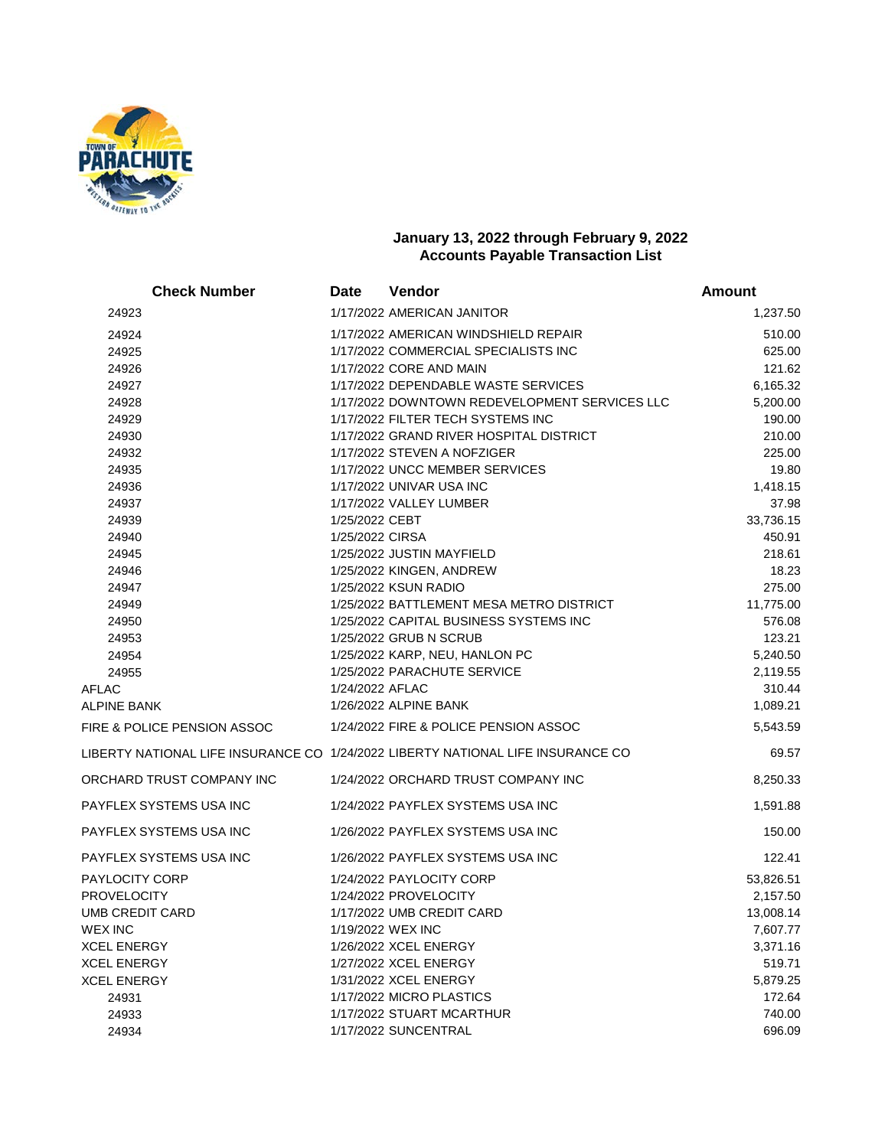

## **January 13, 2022 through February 9, 2022 Accounts Payable Transaction List**

| <b>Check Number</b>         | <b>Date</b>     | Vendor                                                                           | <b>Amount</b>        |
|-----------------------------|-----------------|----------------------------------------------------------------------------------|----------------------|
| 24923                       |                 | 1/17/2022 AMERICAN JANITOR                                                       | 1,237.50             |
| 24924                       |                 | 1/17/2022 AMERICAN WINDSHIELD REPAIR                                             | 510.00               |
| 24925                       |                 | 1/17/2022 COMMERCIAL SPECIALISTS INC                                             | 625.00               |
| 24926                       |                 | 1/17/2022 CORE AND MAIN                                                          | 121.62               |
| 24927                       |                 | 1/17/2022 DEPENDABLE WASTE SERVICES                                              | 6,165.32             |
| 24928                       |                 | 1/17/2022 DOWNTOWN REDEVELOPMENT SERVICES LLC                                    | 5,200.00             |
| 24929                       |                 | 1/17/2022 FILTER TECH SYSTEMS INC                                                | 190.00               |
| 24930                       |                 | 1/17/2022 GRAND RIVER HOSPITAL DISTRICT                                          | 210.00               |
| 24932                       |                 | 1/17/2022 STEVEN A NOFZIGER                                                      | 225.00               |
| 24935                       |                 | 1/17/2022 UNCC MEMBER SERVICES                                                   | 19.80                |
| 24936                       |                 | 1/17/2022 UNIVAR USA INC                                                         | 1,418.15             |
| 24937                       |                 | 1/17/2022 VALLEY LUMBER                                                          | 37.98                |
| 24939                       | 1/25/2022 CEBT  |                                                                                  | 33,736.15            |
| 24940                       | 1/25/2022 CIRSA |                                                                                  | 450.91               |
| 24945                       |                 | 1/25/2022 JUSTIN MAYFIELD                                                        | 218.61               |
| 24946                       |                 | 1/25/2022 KINGEN, ANDREW                                                         | 18.23                |
| 24947                       |                 | 1/25/2022 KSUN RADIO                                                             | 275.00               |
| 24949                       |                 | 1/25/2022 BATTLEMENT MESA METRO DISTRICT                                         | 11,775.00            |
| 24950                       |                 | 1/25/2022 CAPITAL BUSINESS SYSTEMS INC                                           | 576.08               |
| 24953                       |                 | 1/25/2022 GRUB N SCRUB                                                           | 123.21               |
| 24954<br>24955              |                 | 1/25/2022 KARP, NEU, HANLON PC<br>1/25/2022 PARACHUTE SERVICE                    | 5,240.50<br>2,119.55 |
| AFLAC                       | 1/24/2022 AFLAC |                                                                                  | 310.44               |
| ALPINE BANK                 |                 | 1/26/2022 ALPINE BANK                                                            | 1,089.21             |
| FIRE & POLICE PENSION ASSOC |                 | 1/24/2022 FIRE & POLICE PENSION ASSOC                                            | 5,543.59             |
|                             |                 |                                                                                  |                      |
|                             |                 | LIBERTY NATIONAL LIFE INSURANCE CO  1/24/2022 LIBERTY NATIONAL LIFE INSURANCE CO | 69.57                |
| ORCHARD TRUST COMPANY INC   |                 | 1/24/2022 ORCHARD TRUST COMPANY INC                                              | 8,250.33             |
| PAYFLEX SYSTEMS USA INC     |                 | 1/24/2022 PAYFLEX SYSTEMS USA INC                                                | 1,591.88             |
| PAYFLEX SYSTEMS USA INC     |                 | 1/26/2022 PAYFLEX SYSTEMS USA INC                                                | 150.00               |
| PAYFLEX SYSTEMS USA INC     |                 | 1/26/2022 PAYFLEX SYSTEMS USA INC                                                | 122.41               |
| PAYLOCITY CORP              |                 | 1/24/2022 PAYLOCITY CORP                                                         | 53,826.51            |
| <b>PROVELOCITY</b>          |                 | 1/24/2022 PROVELOCITY                                                            | 2,157.50             |
| UMB CREDIT CARD             |                 | 1/17/2022 UMB CREDIT CARD                                                        | 13,008.14            |
| WEX INC                     |                 | 1/19/2022 WEX INC                                                                | 7,607.77             |
| XCEL ENERGY                 |                 | 1/26/2022 XCEL ENERGY                                                            | 3,371.16             |
| XCEL ENERGY                 |                 | 1/27/2022 XCEL ENERGY                                                            | 519.71               |
| XCEL ENERGY                 |                 | 1/31/2022 XCEL ENERGY                                                            | 5,879.25             |
| 24931                       |                 | 1/17/2022 MICRO PLASTICS                                                         | 172.64               |
| 24933                       |                 | 1/17/2022 STUART MCARTHUR                                                        | 740.00               |
| 24934                       |                 | 1/17/2022 SUNCENTRAL                                                             | 696.09               |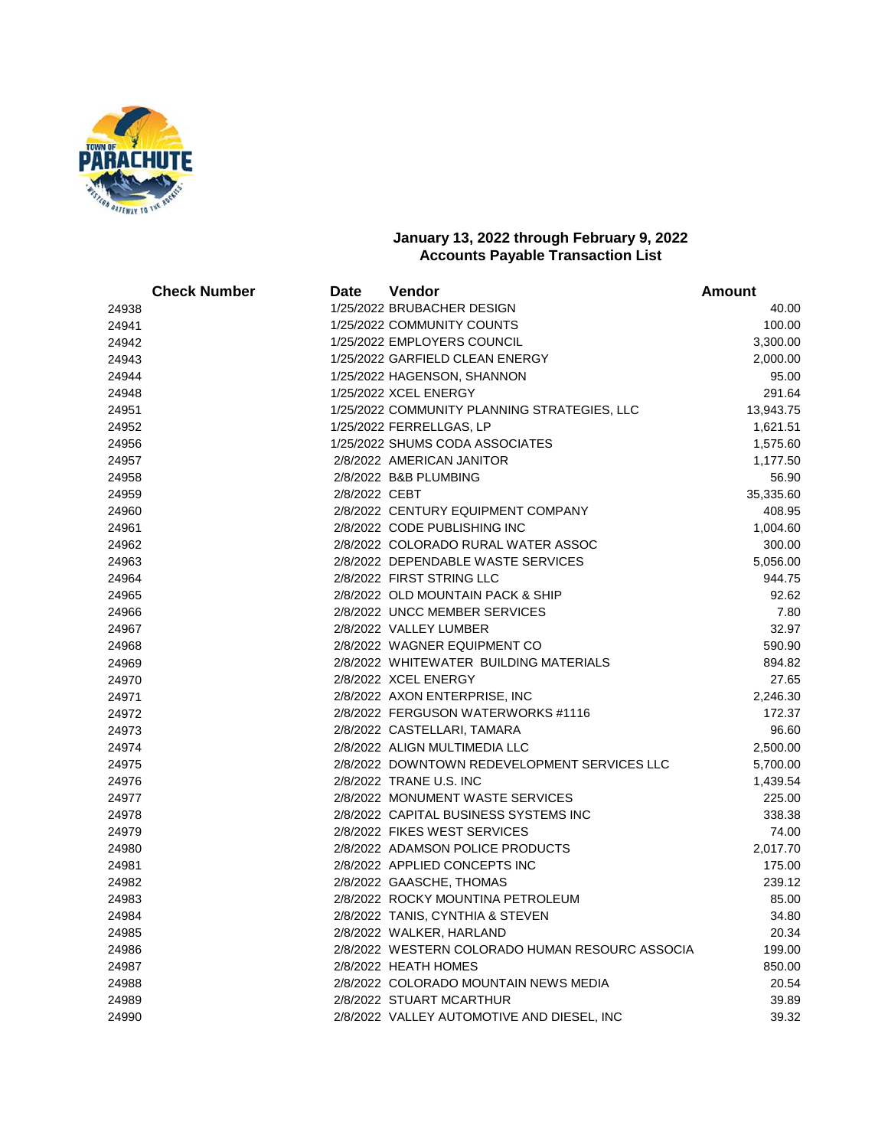

## **January 13, 2022 through February 9, 2022 Accounts Payable Transaction List**

|       | <b>Check Number</b> | Date          | Vendor                                          | <b>Amount</b> |
|-------|---------------------|---------------|-------------------------------------------------|---------------|
| 24938 |                     |               | 1/25/2022 BRUBACHER DESIGN                      | 40.00         |
| 24941 |                     |               | 1/25/2022 COMMUNITY COUNTS                      | 100.00        |
| 24942 |                     |               | 1/25/2022 EMPLOYERS COUNCIL                     | 3,300.00      |
| 24943 |                     |               | 1/25/2022 GARFIELD CLEAN ENERGY                 | 2,000.00      |
| 24944 |                     |               | 1/25/2022 HAGENSON, SHANNON                     | 95.00         |
| 24948 |                     |               | 1/25/2022 XCEL ENERGY                           | 291.64        |
| 24951 |                     |               | 1/25/2022 COMMUNITY PLANNING STRATEGIES, LLC    | 13,943.75     |
| 24952 |                     |               | 1/25/2022 FERRELLGAS, LP                        | 1,621.51      |
| 24956 |                     |               | 1/25/2022 SHUMS CODA ASSOCIATES                 | 1,575.60      |
| 24957 |                     |               | 2/8/2022 AMERICAN JANITOR                       | 1,177.50      |
| 24958 |                     |               | 2/8/2022 B&B PLUMBING                           | 56.90         |
| 24959 |                     | 2/8/2022 CEBT |                                                 | 35,335.60     |
| 24960 |                     |               | 2/8/2022 CENTURY EQUIPMENT COMPANY              | 408.95        |
| 24961 |                     |               | 2/8/2022 CODE PUBLISHING INC                    | 1,004.60      |
| 24962 |                     |               | 2/8/2022 COLORADO RURAL WATER ASSOC             | 300.00        |
| 24963 |                     |               | 2/8/2022 DEPENDABLE WASTE SERVICES              | 5,056.00      |
| 24964 |                     |               | 2/8/2022 FIRST STRING LLC                       | 944.75        |
| 24965 |                     |               | 2/8/2022 OLD MOUNTAIN PACK & SHIP               | 92.62         |
| 24966 |                     |               | 2/8/2022 UNCC MEMBER SERVICES                   | 7.80          |
| 24967 |                     |               | 2/8/2022 VALLEY LUMBER                          | 32.97         |
| 24968 |                     |               | 2/8/2022 WAGNER EQUIPMENT CO                    | 590.90        |
| 24969 |                     |               | 2/8/2022 WHITEWATER BUILDING MATERIALS          | 894.82        |
| 24970 |                     |               | 2/8/2022 XCEL ENERGY                            | 27.65         |
| 24971 |                     |               | 2/8/2022 AXON ENTERPRISE, INC                   | 2,246.30      |
| 24972 |                     |               | 2/8/2022 FERGUSON WATERWORKS #1116              | 172.37        |
| 24973 |                     |               | 2/8/2022 CASTELLARI, TAMARA                     | 96.60         |
| 24974 |                     |               | 2/8/2022 ALIGN MULTIMEDIA LLC                   | 2,500.00      |
| 24975 |                     |               | 2/8/2022 DOWNTOWN REDEVELOPMENT SERVICES LLC    | 5,700.00      |
| 24976 |                     |               | 2/8/2022 TRANE U.S. INC                         | 1,439.54      |
| 24977 |                     |               | 2/8/2022 MONUMENT WASTE SERVICES                | 225.00        |
| 24978 |                     |               | 2/8/2022 CAPITAL BUSINESS SYSTEMS INC           | 338.38        |
| 24979 |                     |               | 2/8/2022 FIKES WEST SERVICES                    | 74.00         |
| 24980 |                     |               | 2/8/2022 ADAMSON POLICE PRODUCTS                | 2,017.70      |
| 24981 |                     |               | 2/8/2022 APPLIED CONCEPTS INC                   | 175.00        |
| 24982 |                     |               | 2/8/2022 GAASCHE, THOMAS                        | 239.12        |
| 24983 |                     |               | 2/8/2022 ROCKY MOUNTINA PETROLEUM               | 85.00         |
| 24984 |                     |               | 2/8/2022 TANIS, CYNTHIA & STEVEN                | 34.80         |
| 24985 |                     |               | 2/8/2022 WALKER, HARLAND                        | 20.34         |
| 24986 |                     |               | 2/8/2022 WESTERN COLORADO HUMAN RESOURC ASSOCIA | 199.00        |
| 24987 |                     |               | 2/8/2022 HEATH HOMES                            | 850.00        |
| 24988 |                     |               | 2/8/2022 COLORADO MOUNTAIN NEWS MEDIA           | 20.54         |
| 24989 |                     |               | 2/8/2022 STUART MCARTHUR                        | 39.89         |
| 24990 |                     |               | 2/8/2022 VALLEY AUTOMOTIVE AND DIESEL, INC      | 39.32         |